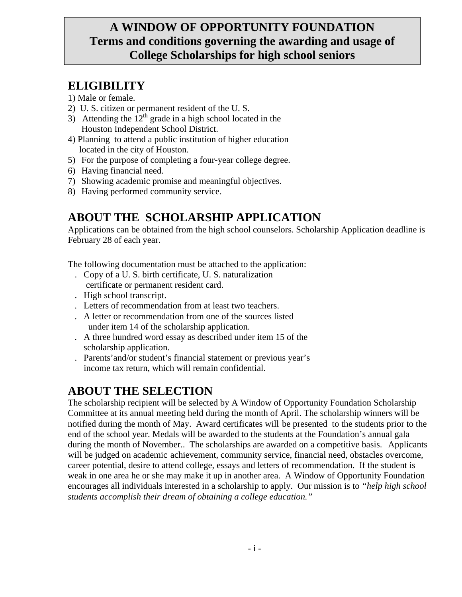### **A WINDOW OF OPPORTUNITY FOUNDATION Terms and conditions governing the awarding and usage of College Scholarships for high school seniors**

## **ELIGIBILITY**

#### 1) Male or female.

- 2) U. S. citizen or permanent resident of the U. S.
- 3) Attending the  $12<sup>th</sup>$  grade in a high school located in the Houston Independent School District.
- 4) Planning to attend a public institution of higher education located in the city of Houston.
- 5) For the purpose of completing a four-year college degree.
- 6) Having financial need.
- 7) Showing academic promise and meaningful objectives.
- 8) Having performed community service.

## **ABOUT THE SCHOLARSHIP APPLICATION**

Applications can be obtained from the high school counselors. Scholarship Application deadline is February 28 of each year.

The following documentation must be attached to the application:

- . Copy of a U. S. birth certificate, U. S. naturalization certificate or permanent resident card.
- . High school transcript.
- . Letters of recommendation from at least two teachers.
- . A letter or recommendation from one of the sources listed under item 14 of the scholarship application.
- . A three hundred word essay as described under item 15 of the scholarship application.
- . Parents'and/or student's financial statement or previous year's income tax return, which will remain confidential.

## **ABOUT THE SELECTION**

The scholarship recipient will be selected by A Window of Opportunity Foundation Scholarship Committee at its annual meeting held during the month of April. The scholarship winners will be notified during the month of May. Award certificates will be presented to the students prior to the end of the school year. Medals will be awarded to the students at the Foundation's annual gala during the month of November.. The scholarships are awarded on a competitive basis. Applicants will be judged on academic achievement, community service, financial need, obstacles overcome, career potential, desire to attend college, essays and letters of recommendation. If the student is weak in one area he or she may make it up in another area. A Window of Opportunity Foundation encourages all individuals interested in a scholarship to apply. Our mission is to *"help high school students accomplish their dream of obtaining a college education."*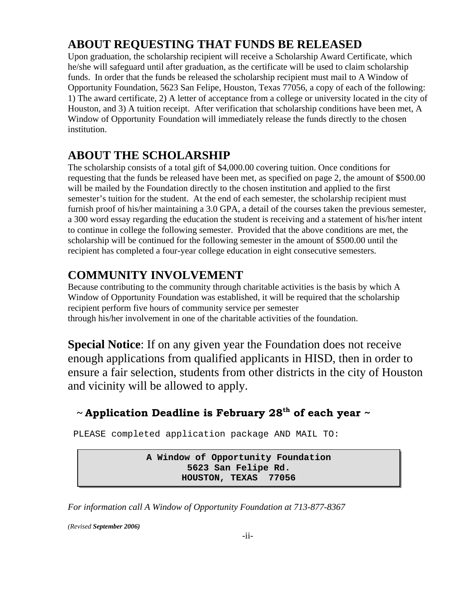### **ABOUT REQUESTING THAT FUNDS BE RELEASED**

Upon graduation, the scholarship recipient will receive a Scholarship Award Certificate, which he/she will safeguard until after graduation, as the certificate will be used to claim scholarship funds. In order that the funds be released the scholarship recipient must mail to A Window of Opportunity Foundation, 5623 San Felipe, Houston, Texas 77056, a copy of each of the following: 1) The award certificate, 2) A letter of acceptance from a college or university located in the city of Houston, and 3) A tuition receipt. After verification that scholarship conditions have been met, A Window of Opportunity Foundation will immediately release the funds directly to the chosen institution.

### **ABOUT THE SCHOLARSHIP**

The scholarship consists of a total gift of \$4,000.00 covering tuition. Once conditions for requesting that the funds be released have been met, as specified on page 2, the amount of \$500.00 will be mailed by the Foundation directly to the chosen institution and applied to the first semester's tuition for the student. At the end of each semester, the scholarship recipient must furnish proof of his/her maintaining a 3.0 GPA, a detail of the courses taken the previous semester, a 300 word essay regarding the education the student is receiving and a statement of his/her intent to continue in college the following semester. Provided that the above conditions are met, the scholarship will be continued for the following semester in the amount of \$500.00 until the recipient has completed a four-year college education in eight consecutive semesters.

### **COMMUNITY INVOLVEMENT**

Because contributing to the community through charitable activities is the basis by which A Window of Opportunity Foundation was established, it will be required that the scholarship recipient perform five hours of community service per semester through his/her involvement in one of the charitable activities of the foundation.

**Special Notice**: If on any given year the Foundation does not receive enough applications from qualified applicants in HISD, then in order to ensure a fair selection, students from other districts in the city of Houston and vicinity will be allowed to apply.

#### **~ Application Deadline is February 28th of each year ~**

PLEASE completed application package AND MAIL TO:

**A Window of Opportunity Foundation 5623 San Felipe Rd. HOUSTON, TEXAS 77056**

*For information call A Window of Opportunity Foundation at 713-877-8367* 

*(Revised September 2006)*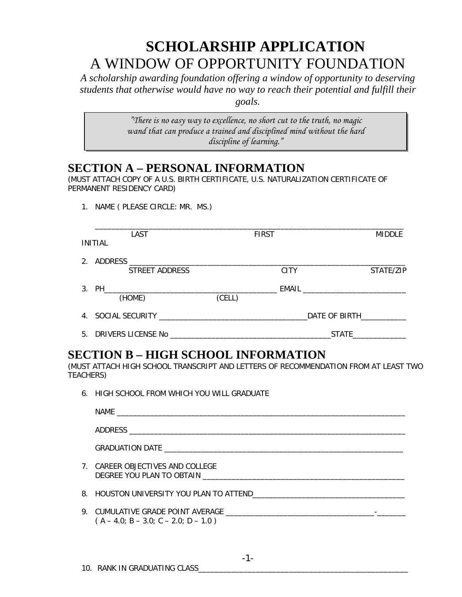# **SCHOLARSHIP APPLICATION**  A WINDOW OF OPPORTUNITY FOUNDATION

*A scholarship awarding foundation offering a window of opportunity to deserving students that otherwise would have no way to reach their potential and fulfill their goals.* 

> *"There is no easy way to excellence, no short cut to the truth, no magic wand that can produce a trained and disciplined mind without the hard discipline of learning."*

### **SECTION A – PERSONAL INFORMATION**

(MUST ATTACH COPY OF A U.S. BIRTH CERTIFICATE, U.S. NATURALIZATION CERTIFICATE OF PERMANENT RESIDENCY CARD)

1. NAME ( PLEASE CIRCLE: MR. MS.)

| LAST                                                                                      |        | <b>FIRST</b> |               | <b>MIDDLE</b> |
|-------------------------------------------------------------------------------------------|--------|--------------|---------------|---------------|
| INITIAL                                                                                   |        |              |               |               |
| 2. ADDRESS                                                                                |        |              |               |               |
| STREET ADDRESS                                                                            |        | <b>CITY</b>  |               | STATE/ZIP     |
| 3. PH_<br>the contract of the contract of the contract of the contract of the contract of |        |              |               |               |
| (HOME)                                                                                    | (CELL) |              |               |               |
|                                                                                           |        |              | DATE OF BIRTH |               |
| 5. DRIVERS LICENSE No                                                                     |        |              | <b>STATE</b>  |               |

### **SECTION B – HIGH SCHOOL INFORMATION**

(MUST ATTACH HIGH SCHOOL TRANSCRIPT AND LETTERS OF RECOMMENDATION FROM AT LEAST TWO TEACHERS)

6. HIGH SCHOOL FROM WHICH YOU WILL GRADUATE

| 7. CAREER OBJECTIVES AND COLLEGE<br>DEGREE YOU PLAN TO OBTAIN DESCRIPTION OF THE STATE OF THE STATE OF THE STATE OF THE STATE OF THE STATE OF THE STATE OF THE STATE OF THE STATE OF THE STATE OF THE STATE OF THE STATE OF THE STATE OF THE STATE OF THE STATE OF |
|--------------------------------------------------------------------------------------------------------------------------------------------------------------------------------------------------------------------------------------------------------------------|
|                                                                                                                                                                                                                                                                    |
| $(A - 4.0; B - 3.0; C - 2.0; D - 1.0)$                                                                                                                                                                                                                             |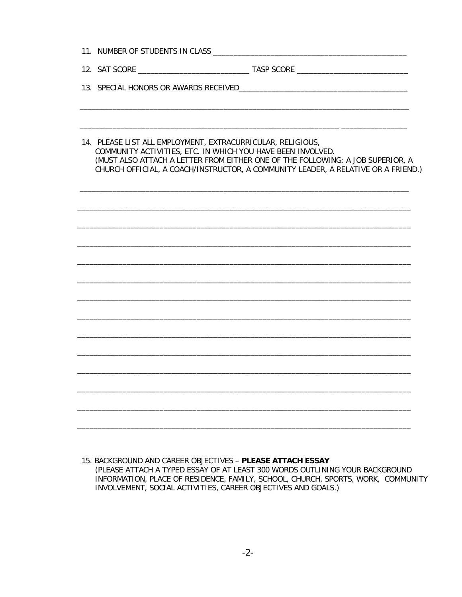| 14. PLEASE LIST ALL EMPLOYMENT, EXTRACURRICULAR, RELIGIOUS,<br>COMMUNITY ACTIVITIES, ETC. IN WHICH YOU HAVE BEEN INVOLVED.<br>(MUST ALSO ATTACH A LETTER FROM EITHER ONE OF THE FOLLOWING: A JOB SUPERIOR, A<br>CHURCH OFFICIAL, A COACH/INSTRUCTOR, A COMMUNITY LEADER, A RELATIVE OR A FRIEND.) |  |
|---------------------------------------------------------------------------------------------------------------------------------------------------------------------------------------------------------------------------------------------------------------------------------------------------|--|
|                                                                                                                                                                                                                                                                                                   |  |
|                                                                                                                                                                                                                                                                                                   |  |
|                                                                                                                                                                                                                                                                                                   |  |
|                                                                                                                                                                                                                                                                                                   |  |
|                                                                                                                                                                                                                                                                                                   |  |
|                                                                                                                                                                                                                                                                                                   |  |
|                                                                                                                                                                                                                                                                                                   |  |
|                                                                                                                                                                                                                                                                                                   |  |
|                                                                                                                                                                                                                                                                                                   |  |
|                                                                                                                                                                                                                                                                                                   |  |
|                                                                                                                                                                                                                                                                                                   |  |
|                                                                                                                                                                                                                                                                                                   |  |
|                                                                                                                                                                                                                                                                                                   |  |

15. BACKGROUND AND CAREER OBJECTIVES - PLEASE ATTACH ESSAY (PLEASE ATTACH A TYPED ESSAY OF AT LEAST 300 WORDS OUTLINING YOUR BACKGROUND INFORMATION, PLACE OF RESIDENCE, FAMILY, SCHOOL, CHURCH, SPORTS, WORK, COMMUNITY INVOLVEMENT, SOCIAL ACTIVITIES, CAREER OBJECTIVES AND GOALS.)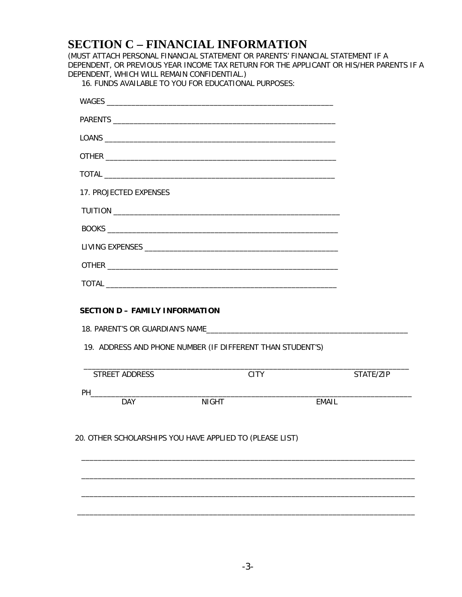### **SECTION C – FINANCIAL INFORMATION**

(MUST ATTACH PERSONAL FINANCIAL STATEMENT OR PARENTS' FINANCIAL STATEMENT IF A DEPENDENT, OR PREVIOUS YEAR INCOME TAX RETURN FOR THE APPLICANT OR HIS/HER PARENTS IF A DEPENDENT, WHICH WILL REMAIN CONFIDENTIAL.)

16. FUNDS AVAILABLE TO YOU FOR EDUCATIONAL PURPOSES:

| 17. PROJECTED EXPENSES |                                                            |       |           |
|------------------------|------------------------------------------------------------|-------|-----------|
|                        |                                                            |       |           |
|                        |                                                            |       |           |
|                        |                                                            |       |           |
|                        |                                                            |       |           |
|                        |                                                            |       |           |
|                        | 19. ADDRESS AND PHONE NUMBER (IF DIFFERENT THAN STUDENT'S) |       |           |
| STREET ADDRESS         | <b>CITY</b>                                                |       | STATE/ZIP |
| <b>DAY</b>             | <b>NIGHT</b>                                               | EMAIL |           |
|                        | 20. OTHER SCHOLARSHIPS YOU HAVE APPLIED TO (PLEASE LIST)   |       |           |
|                        |                                                            |       |           |
|                        |                                                            |       |           |
|                        |                                                            |       |           |
|                        |                                                            |       |           |